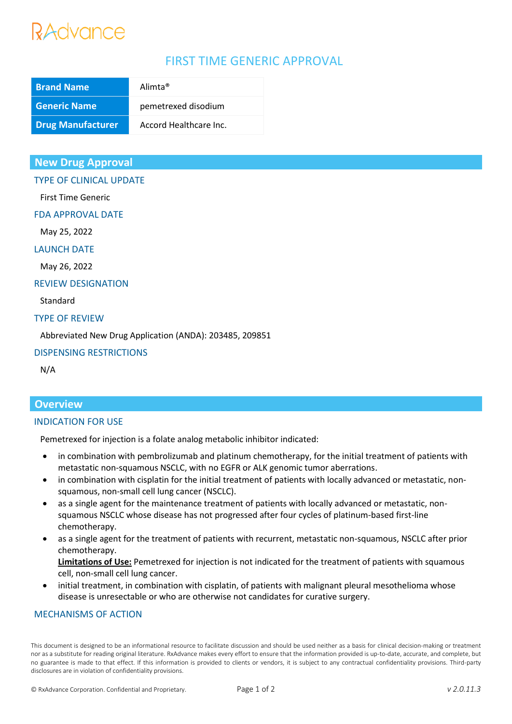# Advance

# FIRST TIME GENERIC APPROVAL

| <b>Brand Name</b>        | Alimta <sup>®</sup>    |
|--------------------------|------------------------|
| <b>Generic Name</b>      | pemetrexed disodium    |
| <b>Drug Manufacturer</b> | Accord Healthcare Inc. |

# **New Drug Approval**

TYPE OF CLINICAL UPDATE

First Time Generic

FDA APPROVAL DATE

May 25, 2022

#### LAUNCH DATE

May 26, 2022

#### REVIEW DESIGNATION

Standard

#### TYPE OF REVIEW

Abbreviated New Drug Application (ANDA): 203485, 209851

### DISPENSING RESTRICTIONS

N/A

# **Overview**

#### INDICATION FOR USE

Pemetrexed for injection is a folate analog metabolic inhibitor indicated:

- in combination with pembrolizumab and platinum chemotherapy, for the initial treatment of patients with metastatic non-squamous NSCLC, with no EGFR or ALK genomic tumor aberrations.
- in combination with cisplatin for the initial treatment of patients with locally advanced or metastatic, nonsquamous, non-small cell lung cancer (NSCLC).
- as a single agent for the maintenance treatment of patients with locally advanced or metastatic, nonsquamous NSCLC whose disease has not progressed after four cycles of platinum-based first-line chemotherapy.
- as a single agent for the treatment of patients with recurrent, metastatic non-squamous, NSCLC after prior chemotherapy.

**Limitations of Use:** Pemetrexed for injection is not indicated for the treatment of patients with squamous cell, non-small cell lung cancer.

• initial treatment, in combination with cisplatin, of patients with malignant pleural mesothelioma whose disease is unresectable or who are otherwise not candidates for curative surgery.

### MECHANISMS OF ACTION

This document is designed to be an informational resource to facilitate discussion and should be used neither as a basis for clinical decision-making or treatment nor as a substitute for reading original literature. RxAdvance makes every effort to ensure that the information provided is up-to-date, accurate, and complete, but no guarantee is made to that effect. If this information is provided to clients or vendors, it is subject to any contractual confidentiality provisions. Third-party disclosures are in violation of confidentiality provisions.